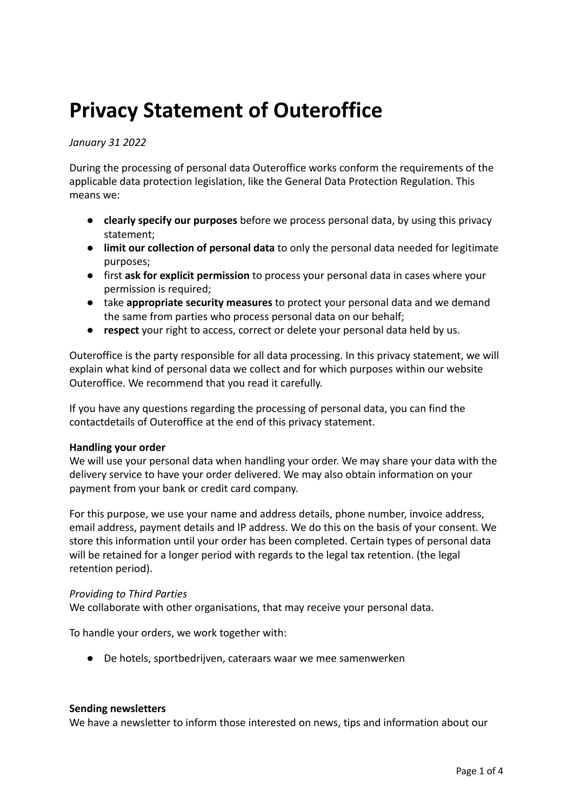# **Privacy Statement of Outeroffice**

## *January 31 2022*

During the processing of personal data Outeroffice works conform the requirements of the applicable data protection legislation, like the General Data Protection Regulation. This means we:

- **clearly specify our purposes** before we process personal data, by using this privacy statement;
- **limit our collection of personal data** to only the personal data needed for legitimate purposes;
- first **ask for explicit permission** to process your personal data in cases where your permission is required;
- take **appropriate security measures** to protect your personal data and we demand the same from parties who process personal data on our behalf;
- **respect** your right to access, correct or delete your personal data held by us.

Outeroffice is the party responsible for all data processing. In this privacy statement, we will explain what kind of personal data we collect and for which purposes within our website Outeroffice. We recommend that you read it carefully.

If you have any questions regarding the processing of personal data, you can find the contactdetails of Outeroffice at the end of this privacy statement.

#### **Handling your order**

We will use your personal data when handling your order. We may share your data with the delivery service to have your order delivered. We may also obtain information on your payment from your bank or credit card company.

For this purpose, we use your name and address details, phone number, invoice address, email address, payment details and IP address. We do this on the basis of your consent. We store this information until your order has been completed. Certain types of personal data will be retained for a longer period with regards to the legal tax retention. (the legal retention period).

# *Providing to Third Parties*

We collaborate with other organisations, that may receive your personal data.

To handle your orders, we work together with:

● De hotels, sportbedrijven, cateraars waar we mee samenwerken

#### **Sending newsletters**

We have a newsletter to inform those interested on news, tips and information about our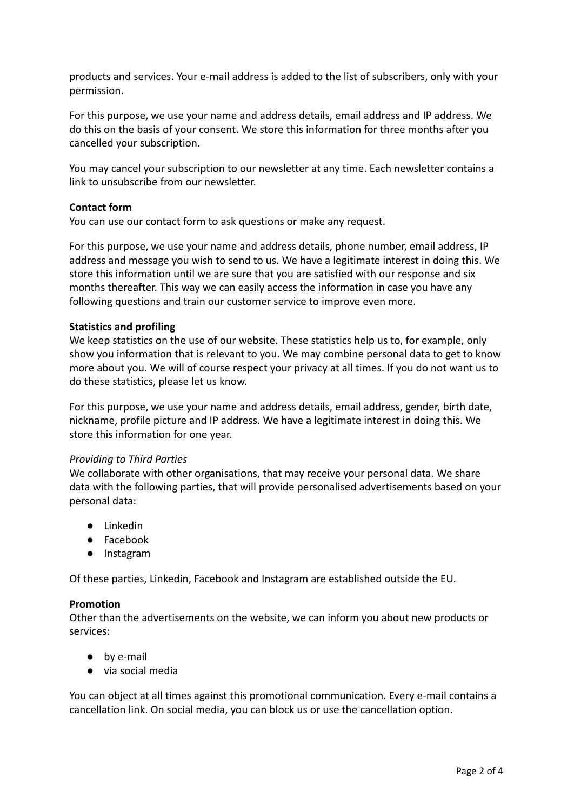products and services. Your e-mail address is added to the list of subscribers, only with your permission.

For this purpose, we use your name and address details, email address and IP address. We do this on the basis of your consent. We store this information for three months after you cancelled your subscription.

You may cancel your subscription to our newsletter at any time. Each newsletter contains a link to unsubscribe from our newsletter.

# **Contact form**

You can use our contact form to ask questions or make any request.

For this purpose, we use your name and address details, phone number, email address, IP address and message you wish to send to us. We have a legitimate interest in doing this. We store this information until we are sure that you are satisfied with our response and six months thereafter. This way we can easily access the information in case you have any following questions and train our customer service to improve even more.

# **Statistics and profiling**

We keep statistics on the use of our website. These statistics help us to, for example, only show you information that is relevant to you. We may combine personal data to get to know more about you. We will of course respect your privacy at all times. If you do not want us to do these statistics, please let us know.

For this purpose, we use your name and address details, email address, gender, birth date, nickname, profile picture and IP address. We have a legitimate interest in doing this. We store this information for one year.

# *Providing to Third Parties*

We collaborate with other organisations, that may receive your personal data. We share data with the following parties, that will provide personalised advertisements based on your personal data:

- Linkedin
- Facebook
- Instagram

Of these parties, Linkedin, Facebook and Instagram are established outside the EU.

# **Promotion**

Other than the advertisements on the website, we can inform you about new products or services:

- by e-mail
- via social media

You can object at all times against this promotional communication. Every e-mail contains a cancellation link. On social media, you can block us or use the cancellation option.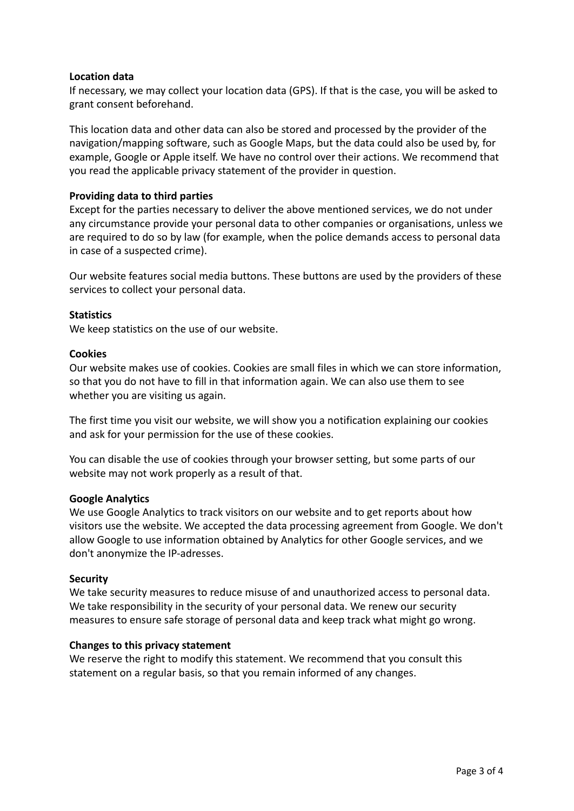## **Location data**

If necessary, we may collect your location data (GPS). If that is the case, you will be asked to grant consent beforehand.

This location data and other data can also be stored and processed by the provider of the navigation/mapping software, such as Google Maps, but the data could also be used by, for example, Google or Apple itself. We have no control over their actions. We recommend that you read the applicable privacy statement of the provider in question.

## **Providing data to third parties**

Except for the parties necessary to deliver the above mentioned services, we do not under any circumstance provide your personal data to other companies or organisations, unless we are required to do so by law (for example, when the police demands access to personal data in case of a suspected crime).

Our website features social media buttons. These buttons are used by the providers of these services to collect your personal data.

## **Statistics**

We keep statistics on the use of our website.

## **Cookies**

Our website makes use of cookies. Cookies are small files in which we can store information, so that you do not have to fill in that information again. We can also use them to see whether you are visiting us again.

The first time you visit our website, we will show you a notification explaining our cookies and ask for your permission for the use of these cookies.

You can disable the use of cookies through your browser setting, but some parts of our website may not work properly as a result of that.

#### **Google Analytics**

We use Google Analytics to track visitors on our website and to get reports about how visitors use the website. We accepted the data processing agreement from Google. We don't allow Google to use information obtained by Analytics for other Google services, and we don't anonymize the IP-adresses.

#### **Security**

We take security measures to reduce misuse of and unauthorized access to personal data. We take responsibility in the security of your personal data. We renew our security measures to ensure safe storage of personal data and keep track what might go wrong.

#### **Changes to this privacy statement**

We reserve the right to modify this statement. We recommend that you consult this statement on a regular basis, so that you remain informed of any changes.